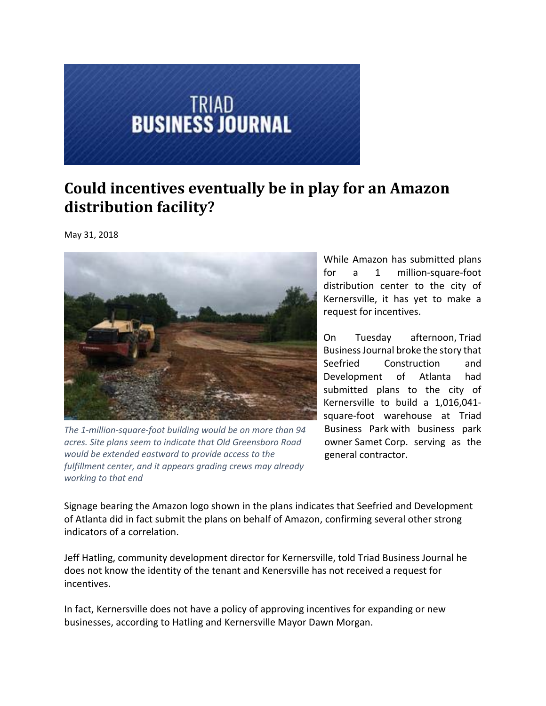## **TRIAD<br>BUSINESS JOURNAL**

## **Could incentives eventually be in play for an Amazon distribution facility?**

May 31, 2018



*The 1‐million‐square‐foot building would be on more than 94 acres. Site plans seem to indicate that Old Greensboro Road would be extended eastward to provide access to the fulfillment center, and it appears grading crews may already working to that end*

While Amazon has submitted plans for a 1 million-square-foot distribution center to the city of Kernersville, it has yet to make a request for incentives.

On Tuesday afternoon, Triad BusinessJournal broke the story that Seefried Construction and Development of Atlanta had submitted plans to the city of Kernersville to build a 1,016,041‐ square‐foot warehouse at Triad Business Park with business park owner Samet Corp. serving as the general contractor.

Signage bearing the Amazon logo shown in the plans indicates that Seefried and Development of Atlanta did in fact submit the plans on behalf of Amazon, confirming several other strong indicators of a correlation.

Jeff Hatling, community development director for Kernersville, told Triad Business Journal he does not know the identity of the tenant and Kenersville has not received a request for incentives.

In fact, Kernersville does not have a policy of approving incentives for expanding or new businesses, according to Hatling and Kernersville Mayor Dawn Morgan.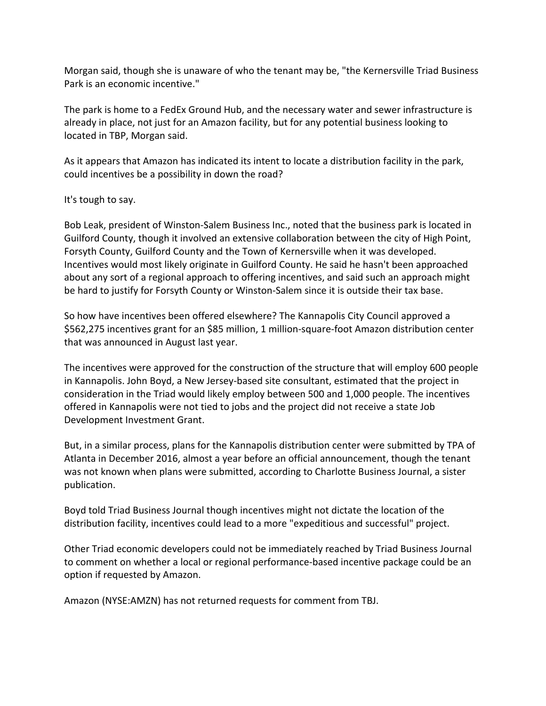Morgan said, though she is unaware of who the tenant may be, "the Kernersville Triad Business Park is an economic incentive."

The park is home to a FedEx Ground Hub, and the necessary water and sewer infrastructure is already in place, not just for an Amazon facility, but for any potential business looking to located in TBP, Morgan said.

As it appears that Amazon has indicated its intent to locate a distribution facility in the park, could incentives be a possibility in down the road?

## It's tough to say.

Bob Leak, president of Winston‐Salem Business Inc., noted that the business park is located in Guilford County, though it involved an extensive collaboration between the city of High Point, Forsyth County, Guilford County and the Town of Kernersville when it was developed. Incentives would most likely originate in Guilford County. He said he hasn't been approached about any sort of a regional approach to offering incentives, and said such an approach might be hard to justify for Forsyth County or Winston‐Salem since it is outside their tax base.

So how have incentives been offered elsewhere? The Kannapolis City Council approved a \$562,275 incentives grant for an \$85 million, 1 million‐square‐foot Amazon distribution center that was announced in August last year.

The incentives were approved for the construction of the structure that will employ 600 people in Kannapolis. John Boyd, a New Jersey‐based site consultant, estimated that the project in consideration in the Triad would likely employ between 500 and 1,000 people. The incentives offered in Kannapolis were not tied to jobs and the project did not receive a state Job Development Investment Grant.

But, in a similar process, plans for the Kannapolis distribution center were submitted by TPA of Atlanta in December 2016, almost a year before an official announcement, though the tenant was not known when plans were submitted, according to Charlotte Business Journal, a sister publication.

Boyd told Triad Business Journal though incentives might not dictate the location of the distribution facility, incentives could lead to a more "expeditious and successful" project.

Other Triad economic developers could not be immediately reached by Triad Business Journal to comment on whether a local or regional performance‐based incentive package could be an option if requested by Amazon.

Amazon (NYSE:AMZN) has not returned requests for comment from TBJ.